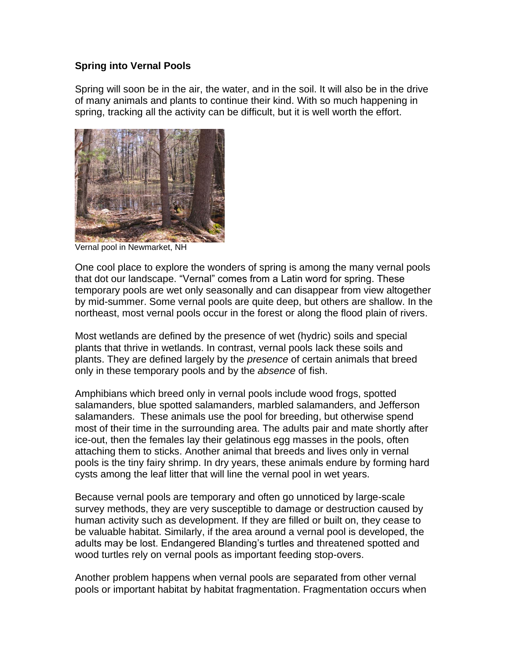## **Spring into Vernal Pools**

Spring will soon be in the air, the water, and in the soil. It will also be in the drive of many animals and plants to continue their kind. With so much happening in spring, tracking all the activity can be difficult, but it is well worth the effort.



Vernal pool in Newmarket, NH

One cool place to explore the wonders of spring is among the many vernal pools that dot our landscape. "Vernal" comes from a Latin word for spring. These temporary pools are wet only seasonally and can disappear from view altogether by mid-summer. Some vernal pools are quite deep, but others are shallow. In the northeast, most vernal pools occur in the forest or along the flood plain of rivers.

Most wetlands are defined by the presence of wet (hydric) soils and special plants that thrive in wetlands. In contrast, vernal pools lack these soils and plants. They are defined largely by the *presence* of certain animals that breed only in these temporary pools and by the *absence* of fish.

Amphibians which breed only in vernal pools include wood frogs, spotted salamanders, blue spotted salamanders, marbled salamanders, and Jefferson salamanders. These animals use the pool for breeding, but otherwise spend most of their time in the surrounding area. The adults pair and mate shortly after ice-out, then the females lay their gelatinous egg masses in the pools, often attaching them to sticks. Another animal that breeds and lives only in vernal pools is the tiny fairy shrimp. In dry years, these animals endure by forming hard cysts among the leaf litter that will line the vernal pool in wet years.

Because vernal pools are temporary and often go unnoticed by large-scale survey methods, they are very susceptible to damage or destruction caused by human activity such as development. If they are filled or built on, they cease to be valuable habitat. Similarly, if the area around a vernal pool is developed, the adults may be lost. Endangered Blanding's turtles and threatened spotted and wood turtles rely on vernal pools as important feeding stop-overs.

Another problem happens when vernal pools are separated from other vernal pools or important habitat by habitat fragmentation. Fragmentation occurs when